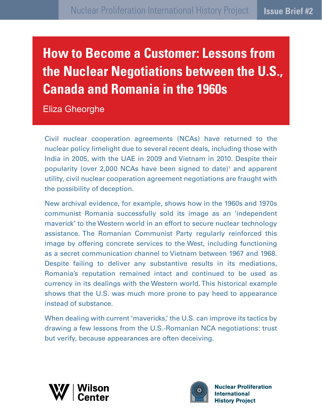# **How to Become a Customer: Lessons from the Nuclear Negotiations between the U.S., Canada and Romania in the 1960s**

Eliza Gheorghe

Civil nuclear cooperation agreements (NCAs) have returned to the nuclear policy limelight due to several recent deals, including those with India in 2005, with the UAE in 2009 and Vietnam in 2010. Despite their popularity (over 2,000 NCAs have been signed to date)<sup>1</sup> and apparent utility, civil nuclear cooperation agreement negotiations are fraught with the possibility of deception.

New archival evidence, for example, shows how in the 1960s and 1970s communist Romania successfully sold its image as an 'independent maverick' to the Western world in an effort to secure nuclear technology assistance. The Romanian Communist Party regularly reinforced this image by offering concrete services to the West, including functioning as a secret communication channel to Vietnam between 1967 and 1968. Despite failing to deliver any substantive results in its mediations, Romania's reputation remained intact and continued to be used as currency in its dealings with the Western world. This historical example shows that the U.S. was much more prone to pay heed to appearance instead of substance.

When dealing with current 'mavericks,' the U.S. can improve its tactics by drawing a few lessons from the U.S.-Romanian NCA negotiations: trust but verify, because appearances are often deceiving.





**Nuclear Proliferation International History Project**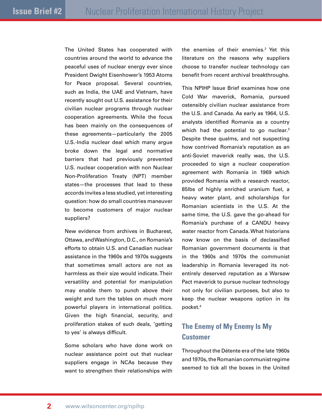The United States has cooperated with countries around the world to advance the peaceful uses of nuclear energy ever since President Dwight Eisenhower's 1953 Atoms for Peace proposal. Several countries, such as India, the UAE and Vietnam, have recently sought out U.S. assistance for their civilian nuclear programs through nuclear cooperation agreements. While the focus has been mainly on the consequences of these agreements—particularly the 2005 U.S.-India nuclear deal which many argue broke down the legal and normative barriers that had previously prevented U.S. nuclear cooperation with non Nuclear Non-Proliferation Treaty (NPT) member states—the processes that lead to these accords invites a less studied, yet interesting question: how do small countries maneuver to become customers of major nuclear suppliers?

New evidence from archives in Bucharest, Ottawa, and Washington, D.C., on Romania's efforts to obtain U.S. and Canadian nuclear assistance in the 1960s and 1970s suggests that sometimes small actors are not as harmless as their size would indicate. Their versatility and potential for manipulation may enable them to punch above their weight and turn the tables on much more powerful players in international politics. Given the high financial, security, and proliferation stakes of such deals, 'getting to yes' is always difficult.

Some scholars who have done work on nuclear assistance point out that nuclear suppliers engage in NCAs because they want to strengthen their relationships with

the enemies of their enemies.<sup>2</sup> Yet this literature on the reasons why suppliers choose to transfer nuclear technology can benefit from recent archival breakthroughs.

This NPIHP Issue Brief examines how one Cold War maverick, Romania, pursued ostensibly civilian nuclear assistance from the U.S. and Canada. As early as 1964, U.S. analysts identified Romania as a country which had the potential to go nuclear.<sup>3</sup> Despite these qualms, and not suspecting how contrived Romania's reputation as an anti-Soviet maverick really was, the U.S. proceeded to sign a nuclear cooperation agreement with Romania in 1969 which provided Romania with a research reactor, 85lbs of highly enriched uranium fuel, a heavy water plant, and scholarships for Romanian scientists in the U.S. At the same time, the U.S. gave the go-ahead for Romania's purchase of a CANDU heavy water reactor from Canada. What historians now know on the basis of declassified Romanian government documents is that in the 1960s and 1970s the communist leadership in Romania leveraged its notentirely deserved reputation as a Warsaw Pact maverick to pursue nuclear technology not only for civilian purposes, but also to keep the nuclear weapons option in its pocket.4

# **The Enemy of My Enemy Is My Customer**

Throughout the Détente era of the late 1960s and 1970s, the Romanian communist regime seemed to tick all the boxes in the United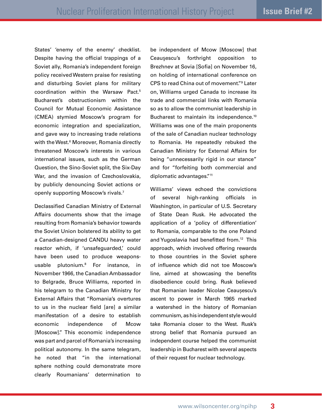States' 'enemy of the enemy' checklist. Despite having the official trappings of a Soviet ally, Romania's independent foreign policy received Western praise for resisting and disturbing Soviet plans for military coordination within the Warsaw Pact.5 Bucharest's obstructionism within the Council for Mutual Economic Assistance (CMEA) stymied Moscow's program for economic integration and specialization, and gave way to increasing trade relations with the West.6 Moreover, Romania directly threatened Moscow's interests in various international issues, such as the German Question, the Sino-Soviet split, the Six-Day War, and the invasion of Czechoslovakia, by publicly denouncing Soviet actions or openly supporting Moscow's rivals.<sup>7</sup>

Declassified Canadian Ministry of External Affairs documents show that the image resulting from Romania's behavior towards the Soviet Union bolstered its ability to get a Canadian-designed CANDU heavy water reactor which, if 'unsafeguarded,' could have been used to produce weaponsusable plutonium.8 For instance, in November 1966, the Canadian Ambassador to Belgrade, Bruce Williams, reported in his telegram to the Canadian Ministry for External Affairs that "Romania's overtures to us in the nuclear field [are] a similar manifestation of a desire to establish economic independence of Mcow [Moscow]." This economic independence was part and parcel of Romania's increasing political autonomy. In the same telegram, he noted that "in the international sphere nothing could demonstrate more clearly Roumanians' determination to

be independent of Mcow [Moscow] that Ceauşescu's forthright opposition to Brezhnev at Sovia [Sofia] on November 16, on holding of international conference on CPS to read China out of movement."9 Later on, Williams urged Canada to increase its trade and commercial links with Romania so as to allow the communist leadership in Bucharest to maintain its independence.<sup>10</sup> Williams was one of the main proponents of the sale of Canadian nuclear technology to Romania. He repeatedly rebuked the Canadian Ministry for External Affairs for being "unnecessarily rigid in our stance" and for "forfeiting both commercial and diplomatic advantages."<sup>11</sup>

Williams' views echoed the convictions of several high-ranking officials in Washington, in particular of U.S. Secretary of State Dean Rusk. He advocated the application of a 'policy of differentiation' to Romania, comparable to the one Poland and Yugoslavia had benefitted from.<sup>12</sup> This approach, which involved offering rewards to those countries in the Soviet sphere of influence which did not toe Moscow's line, aimed at showcasing the benefits disobedience could bring. Rusk believed that Romanian leader Nicolae Ceaușescu's ascent to power in March 1965 marked a watershed in the history of Romanian communism, as his independent style would take Romania closer to the West. Rusk's strong belief that Romania pursued an independent course helped the communist leadership in Bucharest with several aspects of their request for nuclear technology.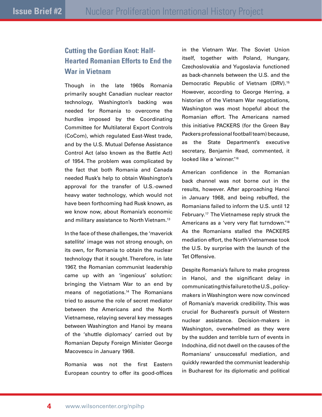# **Cutting the Gordian Knot: Half-Hearted Romanian Efforts to End the War in Vietnam**

Though in the late 1960s Romania primarily sought Canadian nuclear reactor technology, Washington's backing was needed for Romania to overcome the hurdles imposed by the Coordinating Committee for Multilateral Export Controls (CoCom), which regulated East-West trade, and by the U.S. Mutual Defense Assistance Control Act (also known as the Battle Act) of 1954. The problem was complicated by the fact that both Romania and Canada needed Rusk's help to obtain Washington's approval for the transfer of U.S.-owned heavy water technology, which would not have been forthcoming had Rusk known, as we know now, about Romania's economic and military assistance to North Vietnam.13

In the face of these challenges, the 'maverick satellite' image was not strong enough, on its own, for Romania to obtain the nuclear technology that it sought. Therefore, in late 1967, the Romanian communist leadership came up with an 'ingenious' solution: bringing the Vietnam War to an end by means of negotiations.<sup>14</sup> The Romanians tried to assume the role of secret mediator between the Americans and the North Vietnamese, relaying several key messages between Washington and Hanoi by means of the 'shuttle diplomacy' carried out by Romanian Deputy Foreign Minister George Macovescu in January 1968.

Romania was not the first Eastern European country to offer its good-offices in the Vietnam War. The Soviet Union itself, together with Poland, Hungary, Czechoslovakia and Yugoslavia functioned as back-channels between the U.S. and the Democratic Republic of Vietnam (DRV).<sup>15</sup> However, according to George Herring, a historian of the Vietnam War negotiations, Washington was most hopeful about the Romanian effort. The Americans named this initiative PACKERS (for the Green Bay Packers professional football team) because, as the State Department's executive secretary, Benjamin Read, commented, it looked like a 'winner.<sup>'16</sup>

American confidence in the Romanian back channel was not borne out in the results, however. After approaching Hanoi in January 1968, and being rebuffed, the Romanians failed to inform the U.S. until 12 February.17 The Vietnamese reply struck the Americans as a 'very very flat turndown.'18 As the Romanians stalled the PACKERS mediation effort, the North Vietnamese took the U.S. by surprise with the launch of the Tet Offensive.

Despite Romania's failure to make progress in Hanoi, and the significant delay in communicating this failure to the U.S., policymakers in Washington were now convinced of Romania's maverick credibility. This was crucial for Bucharest's pursuit of Western nuclear assistance. Decision-makers in Washington, overwhelmed as they were by the sudden and terrible turn of events in Indochina, did not dwell on the causes of the Romanians' unsuccessful mediation, and quickly rewarded the communist leadership in Bucharest for its diplomatic and political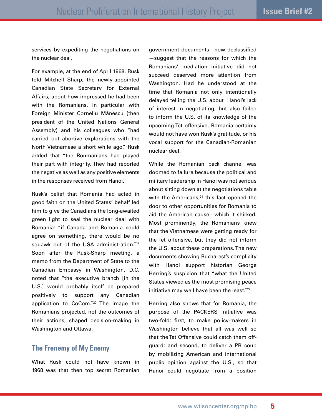services by expediting the negotiations on the nuclear deal.

For example, at the end of April 1968, Rusk told Mitchell Sharp, the newly-appointed Canadian State Secretary for External Affairs, about how impressed he had been with the Romanians, in particular with Foreign Minister Corneliu Mănescu (then president of the United Nations General Assembly) and his colleagues who "had carried out abortive explorations with the North Vietnamese a short while ago." Rusk added that "the Roumanians had played their part with integrity. They had reported the negative as well as any positive elements in the responses received from Hanoi."

Rusk's belief that Romania had acted in good faith on the United States' behalf led him to give the Canadians the long-awaited green light to seal the nuclear deal with Romania: "if Canada and Romania could agree on something, there would be no squawk out of the USA administration."<sup>19</sup> Soon after the Rusk-Sharp meeting, a memo from the Department of State to the Canadian Embassy in Washington, D.C. noted that "the executive branch [in the U.S.] would probably itself be prepared positively to support any Canadian application to CoCom."20 The image the Romanians projected, not the outcomes of their actions, shaped decision-making in Washington and Ottawa.

## **The Frenemy of My Enemy**

What Rusk could not have known in 1968 was that then top secret Romanian

government documents—now declassified —suggest that the reasons for which the Romanians' mediation initiative did not succeed deserved more attention from Washington. Had he understood at the time that Romania not only intentionally delayed telling the U.S. about Hanoi's lack of interest in negotiating, but also failed to inform the U.S. of its knowledge of the upcoming Tet offensive, Romania certainly would not have won Rusk's gratitude, or his vocal support for the Canadian-Romanian nuclear deal.

While the Romanian back channel was doomed to failure because the political and military leadership in Hanoi was not serious about sitting down at the negotiations table with the Americans, $21$  this fact opened the door to other opportunities for Romania to aid the American cause—which it shirked. Most prominently, the Romanians knew that the Vietnamese were getting ready for the Tet offensive, but they did not inform the U.S. about these preparations. The new documents showing Bucharest's complicity with Hanoi support historian George Herring's suspicion that "what the United States viewed as the most promising peace initiative may well have been the least."<sup>22</sup>

Herring also shows that for Romania, the purpose of the PACKERS initiative was two-fold: first, to make policy-makers in Washington believe that all was well so that the Tet Offensive could catch them offguard; and second, to deliver a PR coup by mobilizing American and international public opinion against the U.S., so that Hanoi could negotiate from a position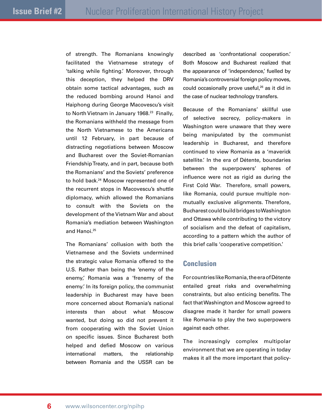of strength. The Romanians knowingly facilitated the Vietnamese strategy of 'talking while fighting.' Moreover, through this deception, they helped the DRV obtain some tactical advantages, such as the reduced bombing around Hanoi and Haiphong during George Macovescu's visit to North Vietnam in January 1968.<sup>23</sup> Finally, the Romanians withheld the message from the North Vietnamese to the Americans until 12 February, in part because of distracting negotiations between Moscow and Bucharest over the Soviet-Romanian Friendship Treaty, and in part, because both the Romanians' and the Soviets' preference to hold back.24 Moscow represented one of the recurrent stops in Macovescu's shuttle diplomacy, which allowed the Romanians to consult with the Soviets on the development of the Vietnam War and about Romania's mediation between Washington and Hanoi.25

The Romanians' collusion with both the Vietnamese and the Soviets undermined the strategic value Romania offered to the U.S. Rather than being the 'enemy of the enemy,' Romania was a 'frenemy of the enemy.' In its foreign policy, the communist leadership in Bucharest may have been more concerned about Romania's national interests than about what Moscow wanted, but doing so did not prevent it from cooperating with the Soviet Union on specific issues. Since Bucharest both helped and defied Moscow on various international matters, the relationship between Romania and the USSR can be

described as 'confrontational cooperation.' Both Moscow and Bucharest realized that the appearance of 'independence,' fuelled by Romania's controversial foreign policy moves, could occasionally prove useful,26 as it did in the case of nuclear technology transfers.

Because of the Romanians' skillful use of selective secrecy, policy-makers in Washington were unaware that they were being manipulated by the communist leadership in Bucharest, and therefore continued to view Romania as a 'maverick satellite.' In the era of Détente, boundaries between the superpowers' spheres of influence were not as rigid as during the First Cold War. Therefore, small powers, like Romania, could pursue multiple nonmutually exclusive alignments. Therefore, Bucharest could build bridges to Washington and Ottawa while contributing to the victory of socialism and the defeat of capitalism, according to a pattern which the author of this brief calls 'cooperative competition.'

### **Conclusion**

For countries like Romania, the era of Détente entailed great risks and overwhelming constraints, but also enticing benefits. The fact that Washington and Moscow agreed to disagree made it harder for small powers like Romania to play the two superpowers against each other.

The increasingly complex multipolar environment that we are operating in today makes it all the more important that policy-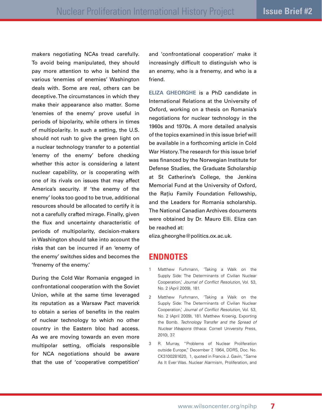makers negotiating NCAs tread carefully. To avoid being manipulated, they should pay more attention to who is behind the various 'enemies of enemies' Washington deals with. Some are real, others can be deceptive. The circumstances in which they make their appearance also matter. Some 'enemies of the enemy' prove useful in periods of bipolarity, while others in times of multipolarity. In such a setting, the U.S. should not rush to give the green light on a nuclear technology transfer to a potential 'enemy of the enemy' before checking whether this actor is considering a latent nuclear capability, or is cooperating with one of its rivals on issues that may affect America's security. If 'the enemy of the enemy' looks too good to be true, additional resources should be allocated to certify it is not a carefully crafted mirage. Finally, given the flux and uncertainty characteristic of periods of multipolarity, decision-makers in Washington should take into account the risks that can be incurred if an 'enemy of the enemy' switches sides and becomes the 'frenemy of the enemy.'

During the Cold War Romania engaged in confrontational cooperation with the Soviet Union, while at the same time leveraged its reputation as a Warsaw Pact maverick to obtain a series of benefits in the realm of nuclear technology to which no other country in the Eastern bloc had access. As we are moving towards an even more multipolar setting, officials responsible for NCA negotiations should be aware that the use of 'cooperative competition' and 'confrontational cooperation' make it increasingly difficult to distinguish who is an enemy, who is a frenemy, and who is a friend.

**Eliza Gheorghe** is a PhD candidate in International Relations at the University of Oxford, working on a thesis on Romania's negotiations for nuclear technology in the 1960s and 1970s. A more detailed analysis of the topics examined in this issue brief will be available in a forthcoming article in Cold War History. The research for this issue brief was financed by the Norwegian Institute for Defense Studies, the Graduate Scholarship at St Catherine's College, the Jenkins Memorial Fund at the University of Oxford, the Rațiu Family Foundation Fellowship, and the Leaders for Romania scholarship. The National Canadian Archives documents were obtained by Dr. Mauro Elli. Eliza can be reached at:

eliza.gheorghe@politics.ox.ac.uk.

## **Endnotes**

- 1 Matthew Furhmann, 'Taking a Walk on the Supply Side: The Determinants of Civilian Nuclear Cooperation,' *Journal of Conflict Resolution*, Vol. 53, No. 2 (April 2009), 181.
- 2 Matthew Furhmann, 'Taking a Walk on the Supply Side: The Determinants of Civilian Nuclear Cooperation,' *Journal of Conflict Resolution*, Vol. 53, No. 2 (April 2009), 181. Matthew Kroenig, Exporting the Bomb. *Technology Transfer and the Spread of Nuclear Weapons* (Ithaca: Cornell University Press, 2010), 37.
- 3 R. Murray, "Problems of Nuclear Proliferation outside Europe," December 7, 1964, DDRS, Doc. No. CK3100281620, 1, quoted in Francis J. Gavin, "Same As It Ever Was. Nuclear Alarmism, Proliferation, and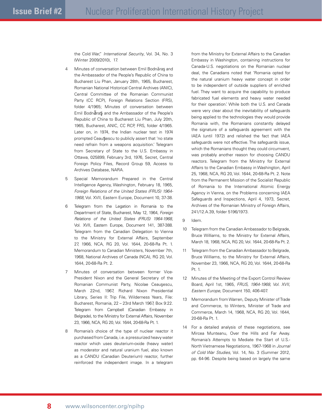the Cold War," *International Security*, Vol. 34, No. 3 (Winter 2009/2010), 17.

- 4 Minutes of conversation between Emil Bodnăraş and the Ambassador of the People's Republic of China to Bucharest Liu Phan, January 28th, 1965, Bucharest, Romanian National Historical Central Archives (ANIC), Central Committee of the Romanian Communist Party (CC RCP), Foreign Relations Section (FRS), folder 4/1965; Minutes of conversation between Emil Bodnăraş and the Ambassador of the People's Republic of China to Bucharest Liu Phan, July 20th, 1965, Bucharest, ANIC, CC RCP, FRS, folder 4/1965. Later on, in 1974, the Indian nuclear test in 1974 prompted Ceaușescu to publicly assert that 'no state need refrain from a weapons acquisition.' Telegram from Secretary of State to the U.S. Embassy in Ottawa, 025899, February 3rd, 1976, Secret, Central Foreign Policy Files, Record Group 59, Access to Archives Database, NARA.
- 5 Special Memorandum Prepared in the Central Intelligence Agency, Washington, February 18, 1965, *Foreign Relations of the United States (FRUS) 1964- 1968*, Vol. XVII, Eastern Europe, Document 10, 37-38.
- 6 Telegram from the Legation in Romania to the Department of State, Bucharest, May 12, 1964, *Foreign Relations of the United States (FRUS) 1964-1968*, Vol. XVII, Eastern Europe, Document 141, 387-388. Telegram from the Canadian Delegation to Vienna to the Ministry for External Affairs, September 27, 1966, NCA, RG 20, Vol. 1644, 20-68-Ra Pt. 1. Memorandum to Canadian Ministers, November 7th, 1968, National Archives of Canada (NCA), RG 20, Vol. 1644, 20-68-Ra Pt. 2.
- 7 Minutes of conversation between former Vice-President Nixon and the General Secretary of the Romanian Communist Party, Nicolae Ceauşescu, March 22nd, 1967, Richard Nixon Presidential Library, Series II: Trip File, Wilderness Years, File: Bucharest, Romania, 22 – 23rd March 1967, Box 9:22. Telegram from Campbell (Canadian Embassy in Belgrade), to the Ministry for External Affairs, November 23, 1966, NCA, RG 20, Vol. 1644, 20-68-Ra Pt. 1.
- 8 Romania's choice of the type of nuclear reactor it purchased from Canada, i.e. a pressurized heavy water reactor which uses deuterium-oxide (heavy water) as moderator and natural uranium fuel, also known as a CANDU (Canadian Deuterium) reactor, further reinforced the independent image. In a telegram

from the Ministry for External Affairs to the Canadian Embassy in Washington, containing instructions for Canada-U.S. negotiations on the Romanian nuclear deal, the Canadians noted that 'Romania opted for the natural uranium heavy water concept in order to be independent of outside suppliers of enriched fuel. They want to acquire the capability to produce fabricated fuel elements and heavy water needed for their operation.' While both the U.S. and Canada were very clear about the inevitability of safeguards being applied to the technologies they would provide Romania with, the Romanians constantly delayed the signature of a safeguards agreement with the IAEA (until 1972) and relished the fact that IAEA safeguards were not effective. The safeguards issue, which the Romanians thought they could circumvent, was probably another reason for choosing CANDU reactors. Telegram from the Ministry for External Affairs to the Canadian Embassy in Washington, April 25, 1968, NCA, RG 20, Vol. 1644, 20-68-Ra Pt. 2. Note from the Permanent Mission of the Socialist Republic of Romania to the International Atomic Energy Agency in Vienna, on the Problems concerning IAEA Safeguards and Inspections, April 4, 1973, Secret, Archives of the Romanian Ministry of Foreign Affairs, 241/12.A.39, folder 5196/1973.

- 9 Idem.
- 10 Telegram from the Canadian Ambassador to Belgrade, Bruce Williams, to the Ministry for External Affairs, March 18, 1968, NCA, RG 20, Vol. 1644, 20-68-Ra Pt. 2.
- 11 Telegram from the Canadian Ambassador to Belgrade, Bruce Williams, to the Ministry for External Affairs, November 23, 1966, NCA, RG 20, Vol. 1644, 20-68-Ra Pt. 1.
- 12 Minutes of the Meeting of the Export Control Review Board, April 1st, 1965, *FRUS, 1964-1968, Vol. XVII, Eastern Europe*, Document 150, 406-407.
- 13 Memorandum from Warren, Deputy Minister of Trade and Commerce, to Winters, Minister of Trade and Commerce, March 14, 1968, NCA, RG 20, Vol. 1644, 20-68-Ra Pt. 1.
- 14 For a detailed analysis of these negotiations, see Mircea Munteanu, Over the Hills and Far Away. Romania's Attempts to Mediate the Start of U.S.- North Vietnamese Negotiations, 1967-1968 in *Journal of Cold War Studies*, Vol. 14, No. 3 (Summer 2012, pp. 64-96. Despite being based on largely the same